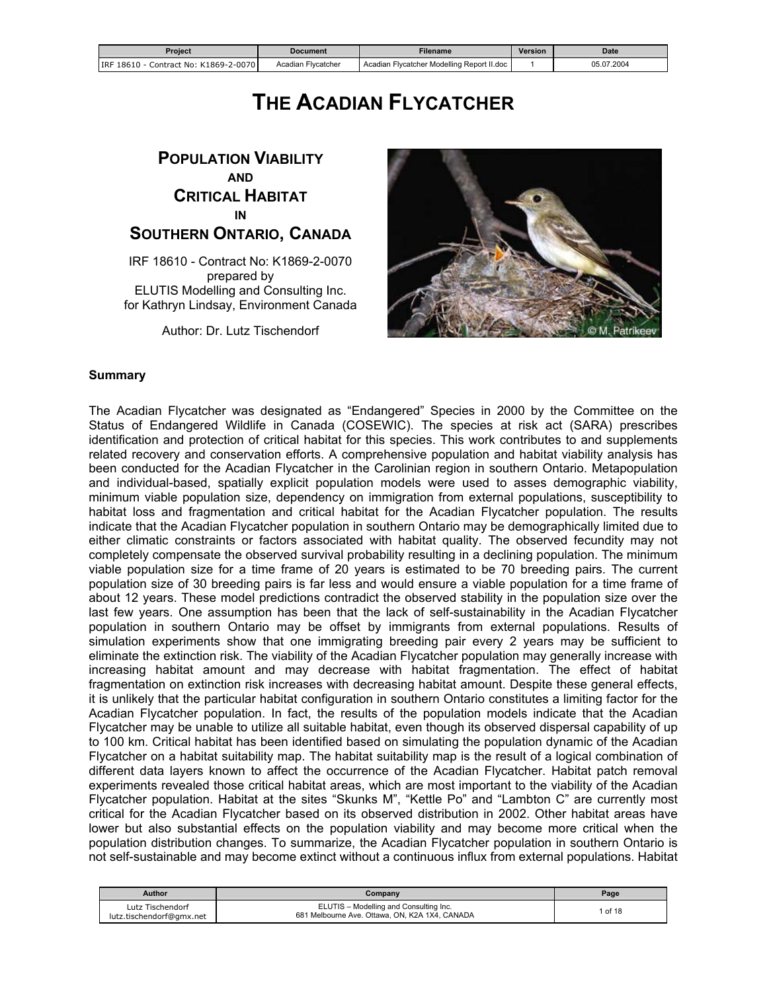<span id="page-0-0"></span>

| Proiect                                    | Document           | Filename                                   | <b>Version</b> | <b>Date</b> |
|--------------------------------------------|--------------------|--------------------------------------------|----------------|-------------|
| IRF 18610 - C<br>Contract No: K1869-2-0070 | Acadian Flycatcher | Acadian Flycatcher Modelling Report II.doc |                | 05.07.2004  |

# **THE ACADIAN FLYCATCHER**

# **POPULATION VIABILITY AND CRITICAL HABITAT IN SOUTHERN ONTARIO, CANADA**

IRF 18610 - Contract No: K1869-2-0070 prepared by ELUTIS Modelling and Consulting Inc. for Kathryn Lindsay, Environment Canada

Author: Dr. Lutz Tischendorf



#### **Summary**

The Acadian Flycatcher was designated as "Endangered" Species in 2000 by the Committee on the Status of Endangered Wildlife in Canada (COSEWIC). The species at risk act (SARA) prescribes identification and protection of critical habitat for this species. This work contributes to and supplements related recovery and conservation efforts. A comprehensive population and habitat viability analysis has been conducted for the Acadian Flycatcher in the Carolinian region in southern Ontario. Metapopulation and individual-based, spatially explicit population models were used to asses demographic viability, minimum viable population size, dependency on immigration from external populations, susceptibility to habitat loss and fragmentation and critical habitat for the Acadian Flycatcher population. The results indicate that the Acadian Flycatcher population in southern Ontario may be demographically limited due to either climatic constraints or factors associated with habitat quality. The observed fecundity may not completely compensate the observed survival probability resulting in a declining population. The minimum viable population size for a time frame of 20 years is estimated to be 70 breeding pairs. The current population size of 30 breeding pairs is far less and would ensure a viable population for a time frame of about 12 years. These model predictions contradict the observed stability in the population size over the last few years. One assumption has been that the lack of self-sustainability in the Acadian Flycatcher population in southern Ontario may be offset by immigrants from external populations. Results of simulation experiments show that one immigrating breeding pair every 2 years may be sufficient to eliminate the extinction risk. The viability of the Acadian Flycatcher population may generally increase with increasing habitat amount and may decrease with habitat fragmentation. The effect of habitat fragmentation on extinction risk increases with decreasing habitat amount. Despite these general effects, it is unlikely that the particular habitat configuration in southern Ontario constitutes a limiting factor for the Acadian Flycatcher population. In fact, the results of the population models indicate that the Acadian Flycatcher may be unable to utilize all suitable habitat, even though its observed dispersal capability of up to 100 km. Critical habitat has been identified based on simulating the population dynamic of the Acadian Flycatcher on a habitat suitability map. The habitat suitability map is the result of a logical combination of different data layers known to affect the occurrence of the Acadian Flycatcher. Habitat patch removal experiments revealed those critical habitat areas, which are most important to the viability of the Acadian Flycatcher population. Habitat at the sites "Skunks M", "Kettle Po" and "Lambton C" are currently most critical for the Acadian Flycatcher based on its observed distribution in 2002. Other habitat areas have lower but also substantial effects on the population viability and may become more critical when the population distribution changes. To summarize, the Acadian Flycatcher population in southern Ontario is not self-sustainable and may become extinct without a continuous influx from external populations. Habitat

| <b>Author</b>                                | Company                                                                                  | Page  |
|----------------------------------------------|------------------------------------------------------------------------------------------|-------|
| Lutz Tischendorf<br>lutz.tischendorf@gmx.net | ELUTIS - Modelling and Consulting Inc.<br>681 Melbourne Ave. Ottawa, ON, K2A 1X4, CANADA | of 18 |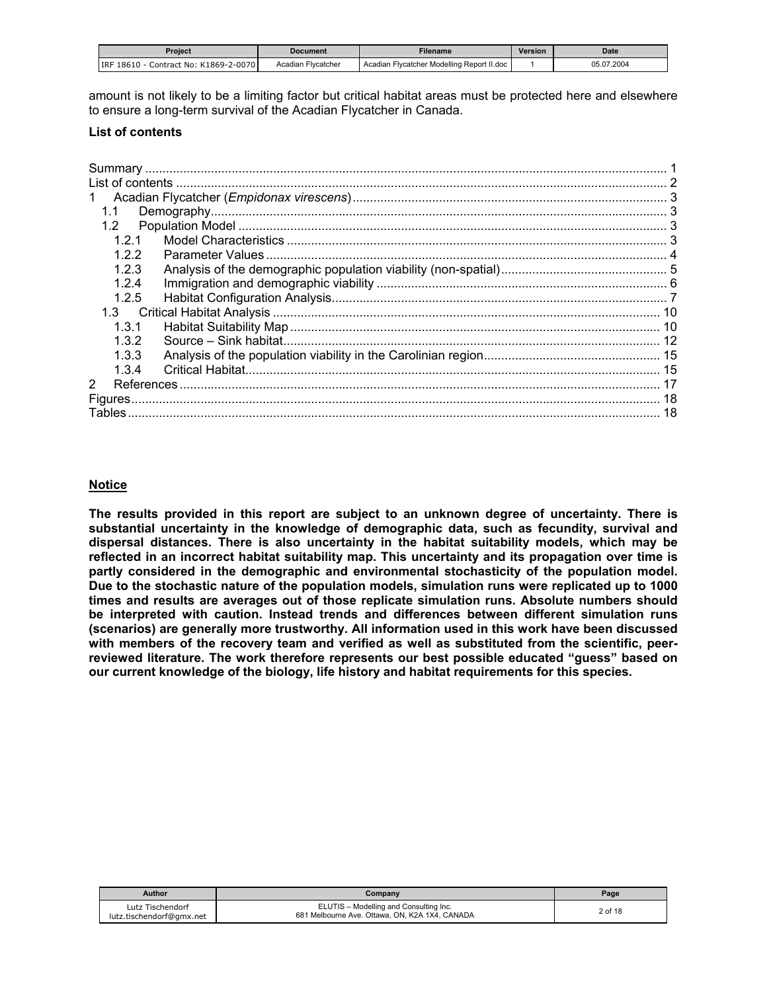<span id="page-1-0"></span>

| Proiect                                | Document           | <b>Filename</b>                            | <b>Version</b> | Date       |
|----------------------------------------|--------------------|--------------------------------------------|----------------|------------|
| Contract No: K1869-2-0070<br>IRF 18610 | Acadian Flycatcher | Acadian Flycatcher Modelling Report II.doc |                | 05.07.2004 |

amount is not likely to be a limiting factor but critical habitat areas must be protected here and elsewhere to ensure a long-term survival of the Acadian Flycatcher in Canada.

#### **List of contents**

| 1.1            |  |
|----------------|--|
| 1.2            |  |
| 121            |  |
| 122            |  |
| 123            |  |
| 124            |  |
| 1.2.5          |  |
|                |  |
| 1.3.1          |  |
| 1.3.2          |  |
| 1.3.3          |  |
| 1.3.4          |  |
| $\overline{2}$ |  |
|                |  |
|                |  |
|                |  |

# **Notice**

**The results provided in this report are subject to an unknown degree of uncertainty. There is substantial uncertainty in the knowledge of demographic data, such as fecundity, survival and dispersal distances. There is also uncertainty in the habitat suitability models, which may be reflected in an incorrect habitat suitability map. This uncertainty and its propagation over time is partly considered in the demographic and environmental stochasticity of the population model. Due to the stochastic nature of the population models, simulation runs were replicated up to 1000 times and results are averages out of those replicate simulation runs. Absolute numbers should be interpreted with caution. Instead trends and differences between different simulation runs (scenarios) are generally more trustworthy. All information used in this work have been discussed with members of the recovery team and verified as well as substituted from the scientific, peerreviewed literature. The work therefore represents our best possible educated "guess" based on our current knowledge of the biology, life history and habitat requirements for this species.** 

| <b>Author</b>                                | Company                                                                                  | Page    |
|----------------------------------------------|------------------------------------------------------------------------------------------|---------|
| Lutz Tischendorf<br>lutz.tischendorf@gmx.net | ELUTIS - Modelling and Consulting Inc.<br>681 Melbourne Ave. Ottawa, ON, K2A 1X4, CANADA | 2 of 18 |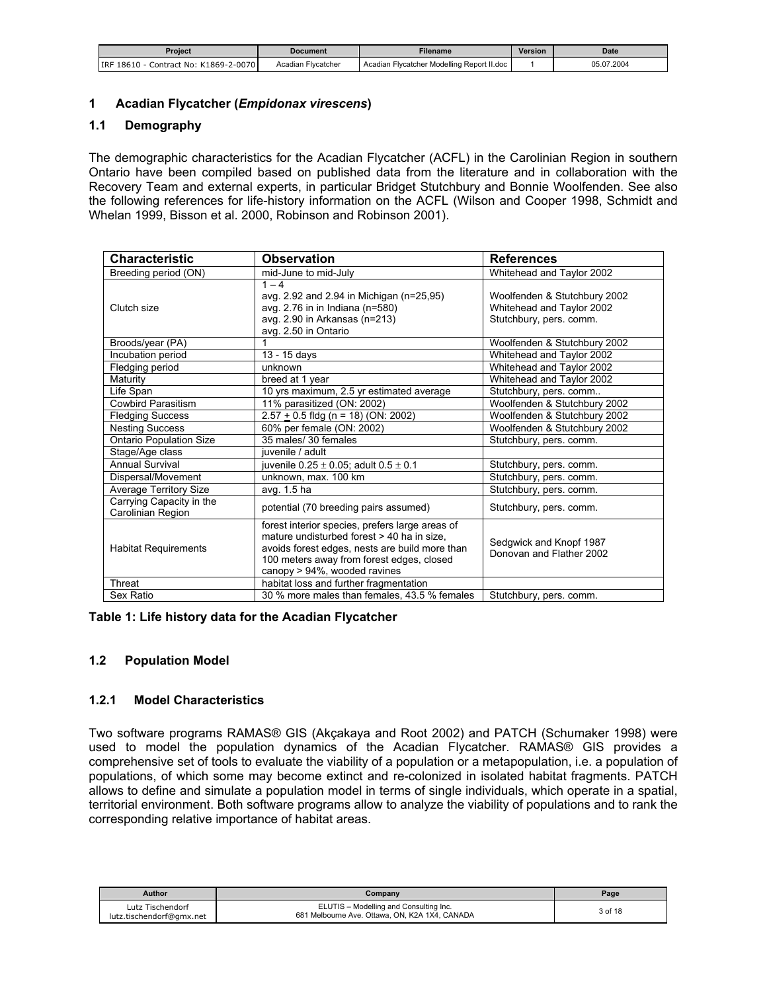<span id="page-2-0"></span>

| Proiect                                  | Document           | Filename                                   | Version | Date       |
|------------------------------------------|--------------------|--------------------------------------------|---------|------------|
| Contract No: K1869-2-0070<br>IRF 18610 - | Acadian Flycatcher | Acadian Flycatcher Modelling Report II.doc |         | 05.07.2004 |

### **1 Acadian Flycatcher (***Empidonax virescens***)**

### **1.1 Demography**

The demographic characteristics for the Acadian Flycatcher (ACFL) in the Carolinian Region in southern Ontario have been compiled based on published data from the literature and in collaboration with the Recovery Team and external experts, in particular Bridget Stutchbury and Bonnie Woolfenden. See also the following references for life-history information on the ACFL (Wilson and Cooper 1998, Schmidt and Whelan 1999, Bisson et al. 2000, Robinson and Robinson 2001).

| <b>Characteristic</b>                         | <b>Observation</b>                                                                                                                                                                                                           | <b>References</b>                                                                    |
|-----------------------------------------------|------------------------------------------------------------------------------------------------------------------------------------------------------------------------------------------------------------------------------|--------------------------------------------------------------------------------------|
| Breeding period (ON)                          | mid-June to mid-July                                                                                                                                                                                                         | Whitehead and Taylor 2002                                                            |
| Clutch size                                   | $1 - 4$<br>avg. 2.92 and 2.94 in Michigan (n=25,95)<br>avg. 2.76 in in Indiana (n=580)<br>avg. 2.90 in Arkansas (n=213)<br>avg. 2.50 in Ontario                                                                              | Woolfenden & Stutchbury 2002<br>Whitehead and Taylor 2002<br>Stutchbury, pers. comm. |
| Broods/year (PA)                              |                                                                                                                                                                                                                              | Woolfenden & Stutchbury 2002                                                         |
| Incubation period                             | 13 - 15 days                                                                                                                                                                                                                 | Whitehead and Taylor 2002                                                            |
| Fledging period                               | unknown                                                                                                                                                                                                                      | Whitehead and Taylor 2002                                                            |
| Maturity                                      | breed at 1 year                                                                                                                                                                                                              | Whitehead and Taylor 2002                                                            |
| Life Span                                     | 10 yrs maximum, 2.5 yr estimated average                                                                                                                                                                                     | Stutchbury, pers. comm                                                               |
| <b>Cowbird Parasitism</b>                     | 11% parasitized (ON: 2002)                                                                                                                                                                                                   | Woolfenden & Stutchbury 2002                                                         |
| <b>Fledging Success</b>                       | $2.57 + 0.5$ fldg (n = 18) (ON: 2002)                                                                                                                                                                                        | Woolfenden & Stutchbury 2002                                                         |
| <b>Nesting Success</b>                        | 60% per female (ON: 2002)                                                                                                                                                                                                    | Woolfenden & Stutchbury 2002                                                         |
| <b>Ontario Population Size</b>                | 35 males/ 30 females                                                                                                                                                                                                         | Stutchbury, pers. comm.                                                              |
| Stage/Age class                               | iuvenile / adult                                                                                                                                                                                                             |                                                                                      |
| <b>Annual Survival</b>                        | juvenile $0.25 \pm 0.05$ ; adult $0.5 \pm 0.1$                                                                                                                                                                               | Stutchbury, pers. comm.                                                              |
| Dispersal/Movement                            | unknown, max. 100 km                                                                                                                                                                                                         | Stutchbury, pers. comm.                                                              |
| <b>Average Territory Size</b>                 | avg. 1.5 ha                                                                                                                                                                                                                  | Stutchbury, pers. comm.                                                              |
| Carrying Capacity in the<br>Carolinian Region | potential (70 breeding pairs assumed)                                                                                                                                                                                        | Stutchbury, pers. comm.                                                              |
| <b>Habitat Requirements</b>                   | forest interior species, prefers large areas of<br>mature undisturbed forest > 40 ha in size,<br>avoids forest edges, nests are build more than<br>100 meters away from forest edges, closed<br>canopy > 94%, wooded ravines | Sedgwick and Knopf 1987<br>Donovan and Flather 2002                                  |
| Threat                                        | habitat loss and further fragmentation                                                                                                                                                                                       |                                                                                      |
| Sex Ratio                                     | 30 % more males than females, 43.5 % females                                                                                                                                                                                 | Stutchbury, pers. comm.                                                              |

#### **Table 1: Life history data for the Acadian Flycatcher**

#### **1.2 Population Model**

#### **1.2.1 Model Characteristics**

Two software programs RAMAS® GIS (Akçakaya and Root 2002) and PATCH (Schumaker 1998) were used to model the population dynamics of the Acadian Flycatcher. RAMAS® GIS provides a comprehensive set of tools to evaluate the viability of a population or a metapopulation, i.e. a population of populations, of which some may become extinct and re-colonized in isolated habitat fragments. PATCH allows to define and simulate a population model in terms of single individuals, which operate in a spatial, territorial environment. Both software programs allow to analyze the viability of populations and to rank the corresponding relative importance of habitat areas.

| <b>Author</b>                                | Company                                                                                  | Page    |
|----------------------------------------------|------------------------------------------------------------------------------------------|---------|
| Lutz Tischendorf<br>lutz.tischendorf@gmx.net | ELUTIS - Modelling and Consulting Inc.<br>681 Melbourne Ave. Ottawa, ON, K2A 1X4, CANADA | 3 of 18 |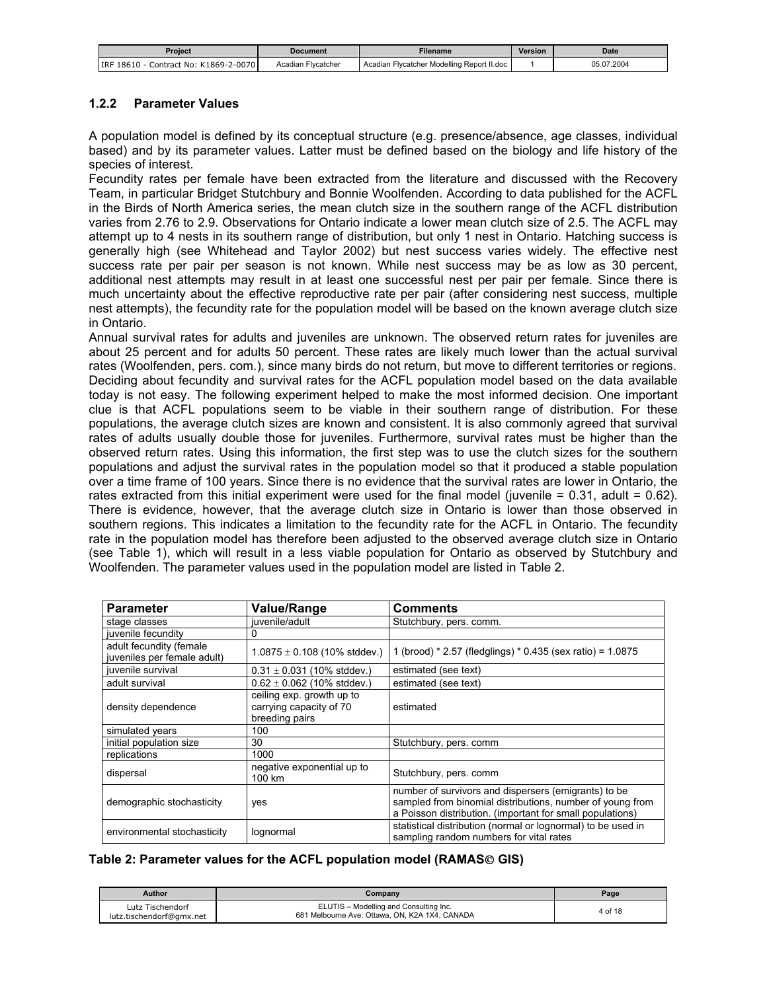<span id="page-3-0"></span>

| Proiect                                | Document           | Filename                                   | Version | Date       |
|----------------------------------------|--------------------|--------------------------------------------|---------|------------|
| Contract No: K1869-2-0070<br>IRF 18610 | Acadian Flycatcher | Acadian Flycatcher Modelling Report II.doc |         | 05.07.2004 |

### **1.2.2 Parameter Values**

A population model is defined by its conceptual structure (e.g. presence/absence, age classes, individual based) and by its parameter values. Latter must be defined based on the biology and life history of the species of interest.

Fecundity rates per female have been extracted from the literature and discussed with the Recovery Team, in particular Bridget Stutchbury and Bonnie Woolfenden. According to data published for the ACFL in the Birds of North America series, the mean clutch size in the southern range of the ACFL distribution varies from 2.76 to 2.9. Observations for Ontario indicate a lower mean clutch size of 2.5. The ACFL may attempt up to 4 nests in its southern range of distribution, but only 1 nest in Ontario. Hatching success is generally high (see Whitehead and Taylor 2002) but nest success varies widely. The effective nest success rate per pair per season is not known. While nest success may be as low as 30 percent, additional nest attempts may result in at least one successful nest per pair per female. Since there is much uncertainty about the effective reproductive rate per pair (after considering nest success, multiple nest attempts), the fecundity rate for the population model will be based on the known average clutch size in Ontario.

Annual survival rates for adults and juveniles are unknown. The observed return rates for juveniles are about 25 percent and for adults 50 percent. These rates are likely much lower than the actual survival rates (Woolfenden, pers. com.), since many birds do not return, but move to different territories or regions. Deciding about fecundity and survival rates for the ACFL population model based on the data available today is not easy. The following experiment helped to make the most informed decision. One important clue is that ACFL populations seem to be viable in their southern range of distribution. For these populations, the average clutch sizes are known and consistent. It is also commonly agreed that survival rates of adults usually double those for juveniles. Furthermore, survival rates must be higher than the observed return rates. Using this information, the first step was to use the clutch sizes for the southern populations and adjust the survival rates in the population model so that it produced a stable population over a time frame of 100 years. Since there is no evidence that the survival rates are lower in Ontario, the rates extracted from this initial experiment were used for the final model (juvenile = 0.31, adult = 0.62). There is evidence, however, that the average clutch size in Ontario is lower than those observed in southern regions. This indicates a limitation to the fecundity rate for the ACFL in Ontario. The fecundity rate in the population model has therefore been adjusted to the observed average clutch size in Ontario (see Table 1), which will result in a less viable population for Ontario as observed by Stutchbury and Woolfenden. The parameter values used in the population model are listed in Table 2.

| <b>Parameter</b>                                       | Value/Range                                                            | <b>Comments</b>                                                                                                                                                                |
|--------------------------------------------------------|------------------------------------------------------------------------|--------------------------------------------------------------------------------------------------------------------------------------------------------------------------------|
| stage classes                                          | iuvenile/adult                                                         | Stutchbury, pers. comm.                                                                                                                                                        |
| juvenile fecundity                                     | 0                                                                      |                                                                                                                                                                                |
| adult fecundity (female<br>juveniles per female adult) | $1.0875 \pm 0.108$ (10% stddev.)                                       | 1 (brood) * 2.57 (fledglings) * 0.435 (sex ratio) = 1.0875                                                                                                                     |
| juvenile survival                                      | $0.31 \pm 0.031$ (10% stddev.)                                         | estimated (see text)                                                                                                                                                           |
| adult survival                                         | $0.62 \pm 0.062$ (10% stddev.)                                         | estimated (see text)                                                                                                                                                           |
| density dependence                                     | ceiling exp. growth up to<br>carrying capacity of 70<br>breeding pairs | estimated                                                                                                                                                                      |
| simulated years                                        | 100                                                                    |                                                                                                                                                                                |
| initial population size                                | 30                                                                     | Stutchbury, pers. comm                                                                                                                                                         |
| replications                                           | 1000                                                                   |                                                                                                                                                                                |
| dispersal                                              | negative exponential up to<br>100 km                                   | Stutchbury, pers. comm                                                                                                                                                         |
| demographic stochasticity                              | yes                                                                    | number of survivors and dispersers (emigrants) to be<br>sampled from binomial distributions, number of young from<br>a Poisson distribution. (important for small populations) |
| environmental stochasticity                            | lognormal                                                              | statistical distribution (normal or lognormal) to be used in<br>sampling random numbers for vital rates                                                                        |

# Table 2: Parameter values for the ACFL population model (RAMAS© GIS)

| Author                                       | Company                                                                                  | Page    |
|----------------------------------------------|------------------------------------------------------------------------------------------|---------|
| Lutz Tischendorf<br>lutz.tischendorf@gmx.net | ELUTIS - Modelling and Consulting Inc.<br>681 Melbourne Ave. Ottawa, ON, K2A 1X4, CANADA | 4 of 18 |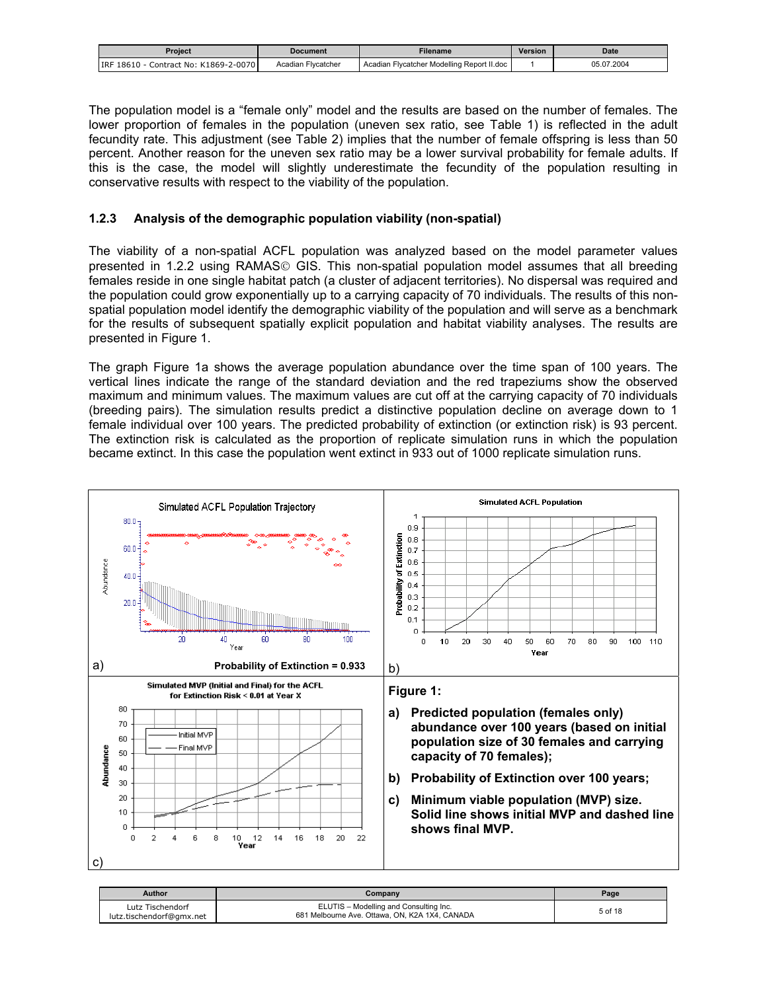<span id="page-4-0"></span>

| Proiect                                  | Document           | Filename                                   | Version | Date       |
|------------------------------------------|--------------------|--------------------------------------------|---------|------------|
| Contract No: K1869-2-0070<br>IRF 18610 - | Acadian Flycatcher | Acadian Flycatcher Modelling Report II.doc |         | 05.07.2004 |

The population model is a "female only" model and the results are based on the number of females. The lower proportion of females in the population (uneven sex ratio, see Table 1) is reflected in the adult fecundity rate. This adjustment (see Table 2) implies that the number of female offspring is less than 50 percent. Another reason for the uneven sex ratio may be a lower survival probability for female adults. If this is the case, the model will slightly underestimate the fecundity of the population resulting in conservative results with respect to the viability of the population.

### **1.2.3 Analysis of the demographic population viability (non-spatial)**

The viability of a non-spatial ACFL population was analyzed based on the model parameter values presented in 1.2.2 using RAMAS<sup>®</sup> GIS. This non-spatial population model assumes that all breeding females reside in one single habitat patch (a cluster of adjacent territories). No dispersal was required and the population could grow exponentially up to a carrying capacity of 70 individuals. The results of this nonspatial population model identify the demographic viability of the population and will serve as a benchmark for the results of subsequent spatially explicit population and habitat viability analyses. The results are presented in Figure 1.

The graph Figure 1a shows the average population abundance over the time span of 100 years. The vertical lines indicate the range of the standard deviation and the red trapeziums show the observed maximum and minimum values. The maximum values are cut off at the carrying capacity of 70 individuals (breeding pairs). The simulation results predict a distinctive population decline on average down to 1 female individual over 100 years. The predicted probability of extinction (or extinction risk) is 93 percent. The extinction risk is calculated as the proportion of replicate simulation runs in which the population became extinct. In this case the population went extinct in 933 out of 1000 replicate simulation runs.



| Author                                       | Company                                                                                  | Page    |
|----------------------------------------------|------------------------------------------------------------------------------------------|---------|
| Lutz Tischendorf<br>lutz.tischendorf@gmx.net | ELUTIS - Modelling and Consulting Inc.<br>681 Melbourne Ave. Ottawa, ON, K2A 1X4, CANADA | 5 of 18 |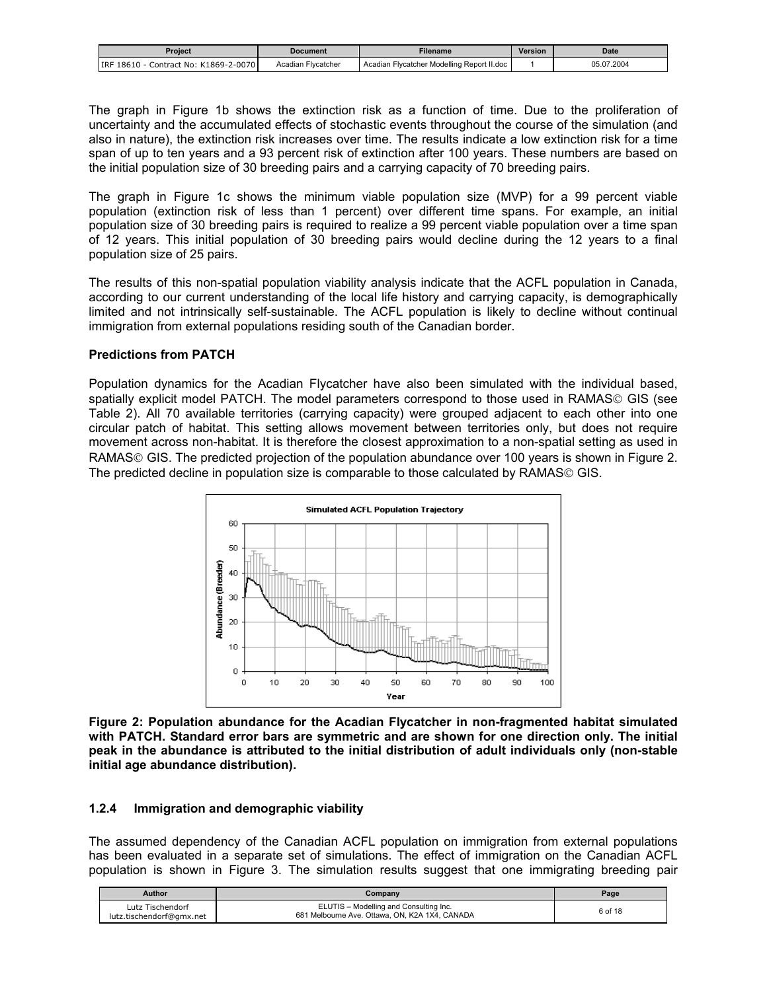<span id="page-5-0"></span>

| Proiect                                    | <b>Document</b>    | <b>Filename</b>                            | <b>Version</b> | <b>Date</b> |
|--------------------------------------------|--------------------|--------------------------------------------|----------------|-------------|
| Contract No: K1869-2-0070<br>IRF 18610 - 0 | Acadian Flycatcher | Acadian Flycatcher Modelling Report II.doc |                | 05.07.2004  |

The graph in Figure 1b shows the extinction risk as a function of time. Due to the proliferation of uncertainty and the accumulated effects of stochastic events throughout the course of the simulation (and also in nature), the extinction risk increases over time. The results indicate a low extinction risk for a time span of up to ten years and a 93 percent risk of extinction after 100 years. These numbers are based on the initial population size of 30 breeding pairs and a carrying capacity of 70 breeding pairs.

The graph in Figure 1c shows the minimum viable population size (MVP) for a 99 percent viable population (extinction risk of less than 1 percent) over different time spans. For example, an initial population size of 30 breeding pairs is required to realize a 99 percent viable population over a time span of 12 years. This initial population of 30 breeding pairs would decline during the 12 years to a final population size of 25 pairs.

The results of this non-spatial population viability analysis indicate that the ACFL population in Canada, according to our current understanding of the local life history and carrying capacity, is demographically limited and not intrinsically self-sustainable. The ACFL population is likely to decline without continual immigration from external populations residing south of the Canadian border.

#### **Predictions from PATCH**

Population dynamics for the Acadian Flycatcher have also been simulated with the individual based, spatially explicit model PATCH. The model parameters correspond to those used in RAMAS© GIS (see Table 2). All 70 available territories (carrying capacity) were grouped adjacent to each other into one circular patch of habitat. This setting allows movement between territories only, but does not require movement across non-habitat. It is therefore the closest approximation to a non-spatial setting as used in RAMAS© GIS. The predicted projection of the population abundance over 100 years is shown in Figure 2. The predicted decline in population size is comparable to those calculated by RAMAS<sup>©</sup> GIS.



**Figure 2: Population abundance for the Acadian Flycatcher in non-fragmented habitat simulated with PATCH. Standard error bars are symmetric and are shown for one direction only. The initial peak in the abundance is attributed to the initial distribution of adult individuals only (non-stable initial age abundance distribution).** 

#### **1.2.4 Immigration and demographic viability**

The assumed dependency of the Canadian ACFL population on immigration from external populations has been evaluated in a separate set of simulations. The effect of immigration on the Canadian ACFL population is shown in Figure 3. The simulation results suggest that one immigrating breeding pair

| <b>Author</b>                                | Company                                                                                  | Page    |
|----------------------------------------------|------------------------------------------------------------------------------------------|---------|
| Lutz Tischendorf<br>lutz.tischendorf@gmx.net | ELUTIS - Modelling and Consulting Inc.<br>681 Melbourne Ave. Ottawa, ON, K2A 1X4, CANADA | 6 of 18 |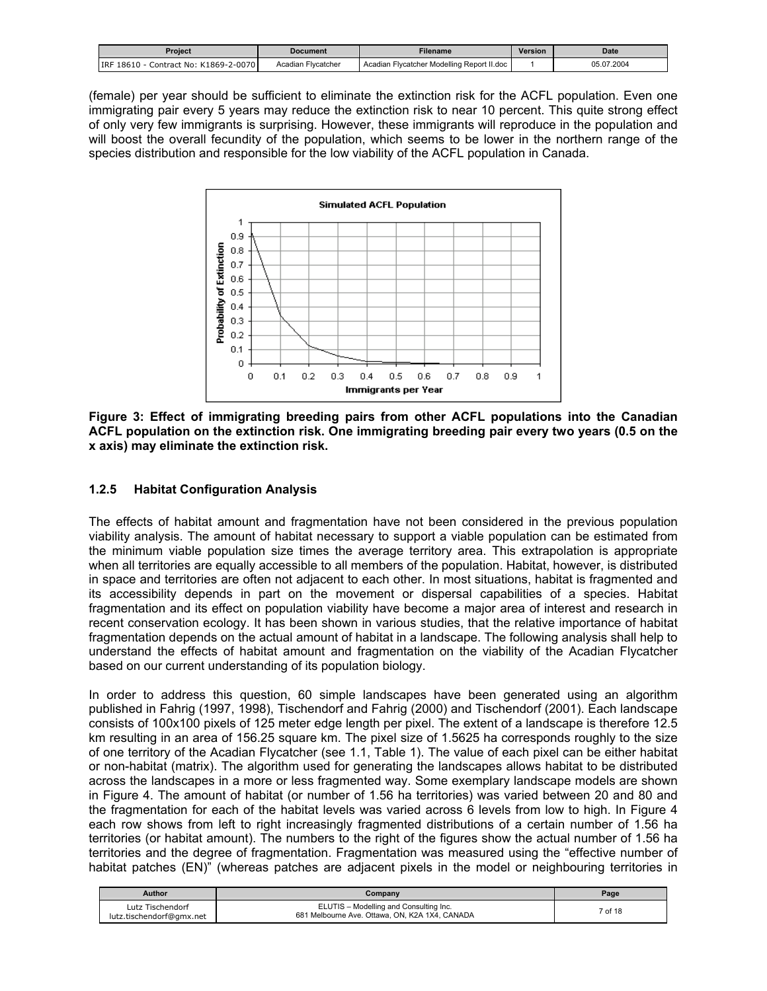<span id="page-6-0"></span>

| Proiect                                       | Document           | Filename                                   | Version | <b>Date</b> |
|-----------------------------------------------|--------------------|--------------------------------------------|---------|-------------|
| <b>IRF 18610</b><br>Contract No: K1869-2-0070 | Acadian Flycatcher | Acadian Flycatcher Modelling Report II.doc |         | 05.07.2004  |

(female) per year should be sufficient to eliminate the extinction risk for the ACFL population. Even one immigrating pair every 5 years may reduce the extinction risk to near 10 percent. This quite strong effect of only very few immigrants is surprising. However, these immigrants will reproduce in the population and will boost the overall fecundity of the population, which seems to be lower in the northern range of the species distribution and responsible for the low viability of the ACFL population in Canada.



**Figure 3: Effect of immigrating breeding pairs from other ACFL populations into the Canadian ACFL population on the extinction risk. One immigrating breeding pair every two years (0.5 on the x axis) may eliminate the extinction risk.** 

# **1.2.5 Habitat Configuration Analysis**

The effects of habitat amount and fragmentation have not been considered in the previous population viability analysis. The amount of habitat necessary to support a viable population can be estimated from the minimum viable population size times the average territory area. This extrapolation is appropriate when all territories are equally accessible to all members of the population. Habitat, however, is distributed in space and territories are often not adjacent to each other. In most situations, habitat is fragmented and its accessibility depends in part on the movement or dispersal capabilities of a species. Habitat fragmentation and its effect on population viability have become a major area of interest and research in recent conservation ecology. It has been shown in various studies, that the relative importance of habitat fragmentation depends on the actual amount of habitat in a landscape. The following analysis shall help to understand the effects of habitat amount and fragmentation on the viability of the Acadian Flycatcher based on our current understanding of its population biology.

In order to address this question, 60 simple landscapes have been generated using an algorithm published in Fahrig (1997, 1998), Tischendorf and Fahrig (2000) and Tischendorf (2001). Each landscape consists of 100x100 pixels of 125 meter edge length per pixel. The extent of a landscape is therefore 12.5 km resulting in an area of 156.25 square km. The pixel size of 1.5625 ha corresponds roughly to the size of one territory of the Acadian Flycatcher (see 1.1, Table 1). The value of each pixel can be either habitat or non-habitat (matrix). The algorithm used for generating the landscapes allows habitat to be distributed across the landscapes in a more or less fragmented way. Some exemplary landscape models are shown in Figure 4. The amount of habitat (or number of 1.56 ha territories) was varied between 20 and 80 and the fragmentation for each of the habitat levels was varied across 6 levels from low to high. In Figure 4 each row shows from left to right increasingly fragmented distributions of a certain number of 1.56 ha territories (or habitat amount). The numbers to the right of the figures show the actual number of 1.56 ha territories and the degree of fragmentation. Fragmentation was measured using the "effective number of habitat patches (EN)<sup>"</sup> (whereas patches are adjacent pixels in the model or neighbouring territories in

| Author                                       | <b>Company</b>                                                                           | Page               |
|----------------------------------------------|------------------------------------------------------------------------------------------|--------------------|
| Lutz Tischendorf<br>lutz.tischendorf@gmx.net | ELUTIS - Modelling and Consulting Inc.<br>681 Melbourne Ave. Ottawa, ON, K2A 1X4, CANADA | <sup>7</sup> of 18 |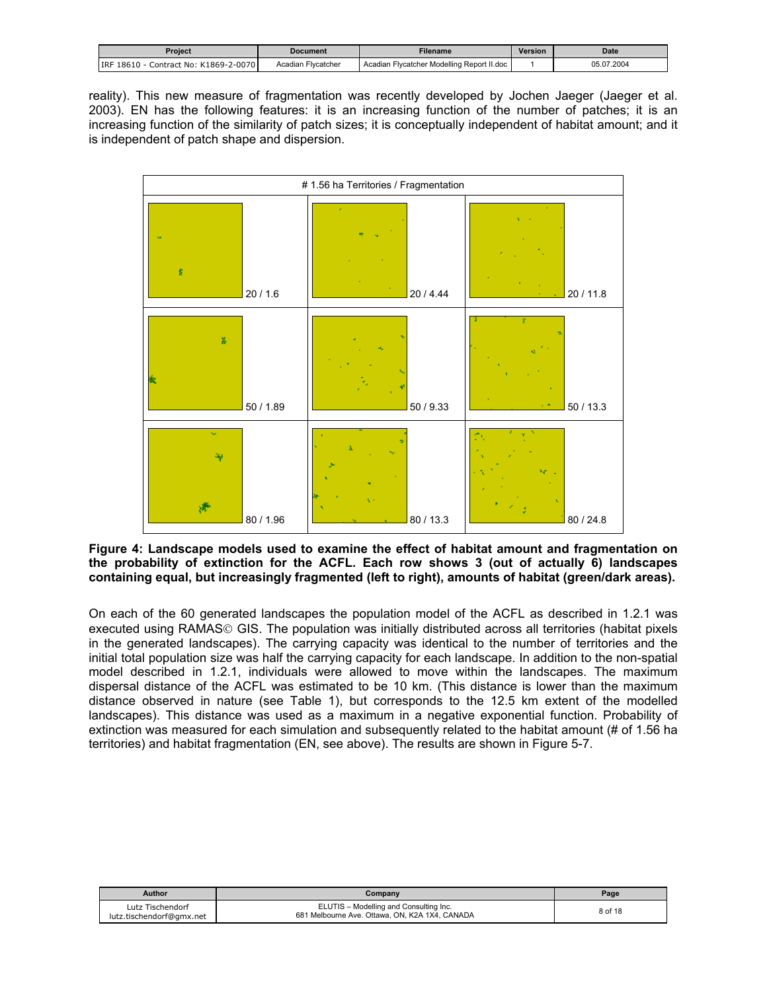<span id="page-7-0"></span>

| Proiect                                | Document           | Filename                                   | Version | Date       |
|----------------------------------------|--------------------|--------------------------------------------|---------|------------|
| IRF 18610<br>Contract No: K1869-2-0070 | Acadian Flycatcher | Acadian Flycatcher Modelling Report II.doc |         | 05.07.2004 |

reality). This new measure of fragmentation was recently developed by Jochen Jaeger (Jaeger et al. 2003). EN has the following features: it is an increasing function of the number of patches; it is an increasing function of the similarity of patch sizes; it is conceptually independent of habitat amount; and it is independent of patch shape and dispersion.



**Figure 4: Landscape models used to examine the effect of habitat amount and fragmentation on the probability of extinction for the ACFL. Each row shows 3 (out of actually 6) landscapes containing equal, but increasingly fragmented (left to right), amounts of habitat (green/dark areas).** 

On each of the 60 generated landscapes the population model of the ACFL as described in 1.2.1 was executed using RAMAS© GIS. The population was initially distributed across all territories (habitat pixels in the generated landscapes). The carrying capacity was identical to the number of territories and the initial total population size was half the carrying capacity for each landscape. In addition to the non-spatial model described in 1.2.1, individuals were allowed to move within the landscapes. The maximum dispersal distance of the ACFL was estimated to be 10 km. (This distance is lower than the maximum distance observed in nature (see Table 1), but corresponds to the 12.5 km extent of the modelled landscapes). This distance was used as a maximum in a negative exponential function. Probability of extinction was measured for each simulation and subsequently related to the habitat amount (# of 1.56 ha territories) and habitat fragmentation (EN, see above). The results are shown in Figure 5-7.

| <b>Author</b>                                | Company                                                                                  | Page    |
|----------------------------------------------|------------------------------------------------------------------------------------------|---------|
| Lutz Tischendorf<br>lutz.tischendorf@gmx.net | ELUTIS - Modelling and Consulting Inc.<br>681 Melbourne Ave. Ottawa, ON, K2A 1X4, CANADA | 8 of 18 |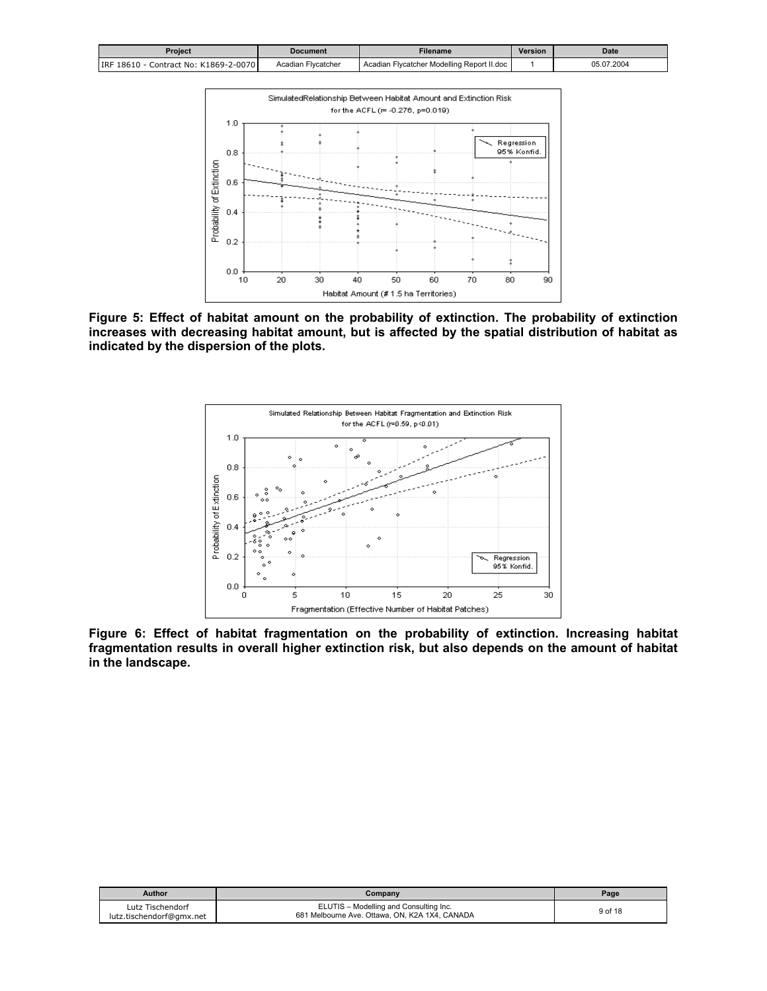<span id="page-8-0"></span>

| Proiect                                  | <b>Document</b>    | Filename                                   | <b>Version</b> | <b>Date</b> |
|------------------------------------------|--------------------|--------------------------------------------|----------------|-------------|
| Contract No: K1869-2-0070<br>IRF 18610 - | Acadian Flycatcher | Acadian Flycatcher Modelling Report II.doc |                | 05.07.2004  |



**Figure 5: Effect of habitat amount on the probability of extinction. The probability of extinction increases with decreasing habitat amount, but is affected by the spatial distribution of habitat as indicated by the dispersion of the plots.** 



**Figure 6: Effect of habitat fragmentation on the probability of extinction. Increasing habitat fragmentation results in overall higher extinction risk, but also depends on the amount of habitat in the landscape.** 

| <b>Author</b>                                | Company                                                                                  | Page    |
|----------------------------------------------|------------------------------------------------------------------------------------------|---------|
| Lutz Tischendorf<br>lutz.tischendorf@gmx.net | ELUTIS - Modelling and Consulting Inc.<br>681 Melbourne Ave. Ottawa, ON, K2A 1X4, CANADA | 9 of 18 |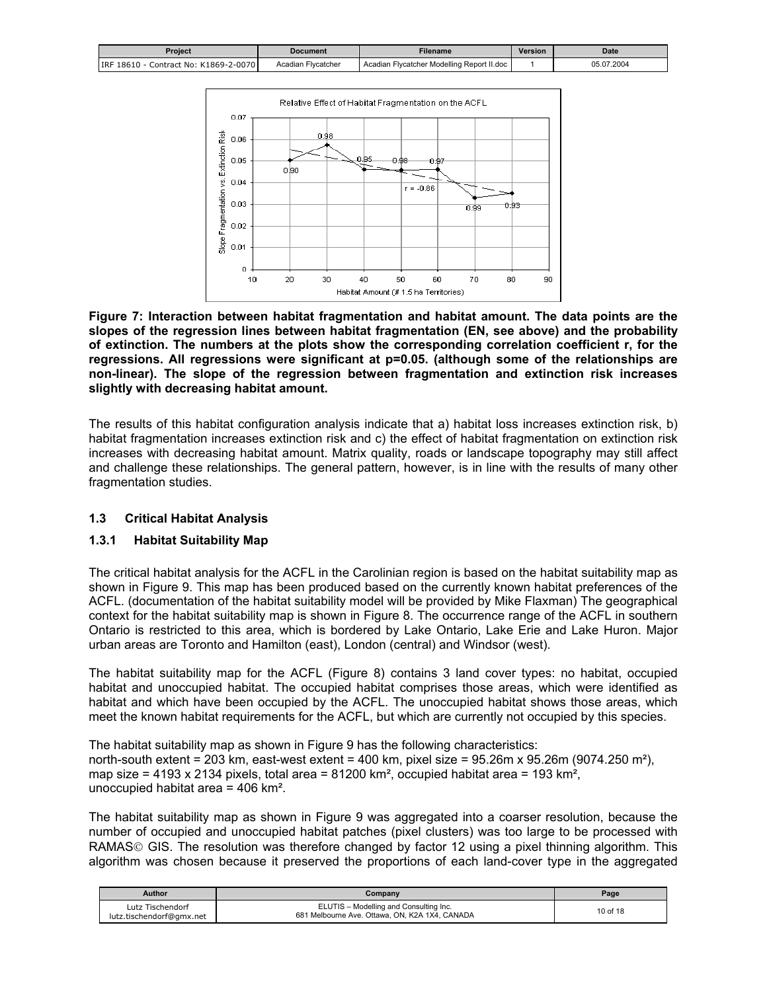<span id="page-9-0"></span>

| Proiect                                    | Document           | Filename                                   | <b>Version</b> | Date       |
|--------------------------------------------|--------------------|--------------------------------------------|----------------|------------|
| Contract No: K1869-2-0070<br>IRF 18610 - 0 | Acadian Flycatcher | Acadian Flycatcher Modelling Report II.doc |                | 05.07.2004 |



**Figure 7: Interaction between habitat fragmentation and habitat amount. The data points are the slopes of the regression lines between habitat fragmentation (EN, see above) and the probability of extinction. The numbers at the plots show the corresponding correlation coefficient r, for the regressions. All regressions were significant at p=0.05. (although some of the relationships are non-linear). The slope of the regression between fragmentation and extinction risk increases slightly with decreasing habitat amount.** 

The results of this habitat configuration analysis indicate that a) habitat loss increases extinction risk, b) habitat fragmentation increases extinction risk and c) the effect of habitat fragmentation on extinction risk increases with decreasing habitat amount. Matrix quality, roads or landscape topography may still affect and challenge these relationships. The general pattern, however, is in line with the results of many other fragmentation studies.

# **1.3 Critical Habitat Analysis**

# **1.3.1 Habitat Suitability Map**

The critical habitat analysis for the ACFL in the Carolinian region is based on the habitat suitability map as shown in Figure 9. This map has been produced based on the currently known habitat preferences of the ACFL. (documentation of the habitat suitability model will be provided by Mike Flaxman) The geographical context for the habitat suitability map is shown in Figure 8. The occurrence range of the ACFL in southern Ontario is restricted to this area, which is bordered by Lake Ontario, Lake Erie and Lake Huron. Major urban areas are Toronto and Hamilton (east), London (central) and Windsor (west).

The habitat suitability map for the ACFL (Figure 8) contains 3 land cover types: no habitat, occupied habitat and unoccupied habitat. The occupied habitat comprises those areas, which were identified as habitat and which have been occupied by the ACFL. The unoccupied habitat shows those areas, which meet the known habitat requirements for the ACFL, but which are currently not occupied by this species.

The habitat suitability map as shown in Figure 9 has the following characteristics: north-south extent = 203 km, east-west extent = 400 km, pixel size =  $95.26m \times 95.26m$  (9074.250 m<sup>2</sup>). map size = 4193 x 2134 pixels, total area =  $81200 \text{ km}^2$ , occupied habitat area = 193 km<sup>2</sup>, unoccupied habitat area = 406 km².

The habitat suitability map as shown in Figure 9 was aggregated into a coarser resolution, because the number of occupied and unoccupied habitat patches (pixel clusters) was too large to be processed with RAMAS© GIS. The resolution was therefore changed by factor 12 using a pixel thinning algorithm. This algorithm was chosen because it preserved the proportions of each land-cover type in the aggregated

| <b>Author</b>                                | Company                                                                                  | Page     |
|----------------------------------------------|------------------------------------------------------------------------------------------|----------|
| Lutz Tischendorf<br>lutz.tischendorf@gmx.net | ELUTIS - Modelling and Consulting Inc.<br>681 Melbourne Ave. Ottawa, ON, K2A 1X4, CANADA | 10 of 18 |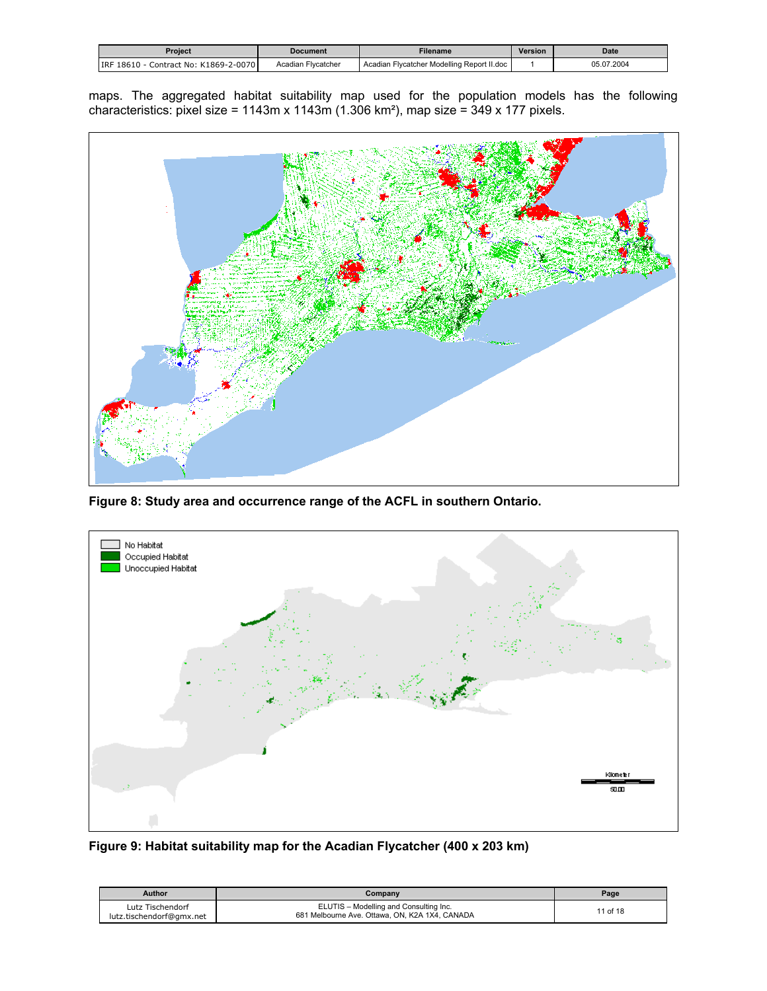<span id="page-10-0"></span>

| Proiect                                | <b>Document</b>    | Filename                                   | <b>Version</b> | Date       |
|----------------------------------------|--------------------|--------------------------------------------|----------------|------------|
| IRF 18610<br>Contract No: K1869-2-0070 | Acadian Flycatcher | Acadian Flycatcher Modelling Report II.doc |                | 05.07.2004 |

maps. The aggregated habitat suitability map used for the population models has the following characteristics: pixel size = 1143m x 1143m (1.306 km²), map size = 349 x 177 pixels.



**Figure 8: Study area and occurrence range of the ACFL in southern Ontario.** 



**Figure 9: Habitat suitability map for the Acadian Flycatcher (400 x 203 km)** 

| Author                                       | Company                                                                                  | Page     |
|----------------------------------------------|------------------------------------------------------------------------------------------|----------|
| Lutz Tischendorf<br>lutz.tischendorf@gmx.net | ELUTIS - Modelling and Consulting Inc.<br>681 Melbourne Ave. Ottawa, ON, K2A 1X4, CANADA | 11 of 18 |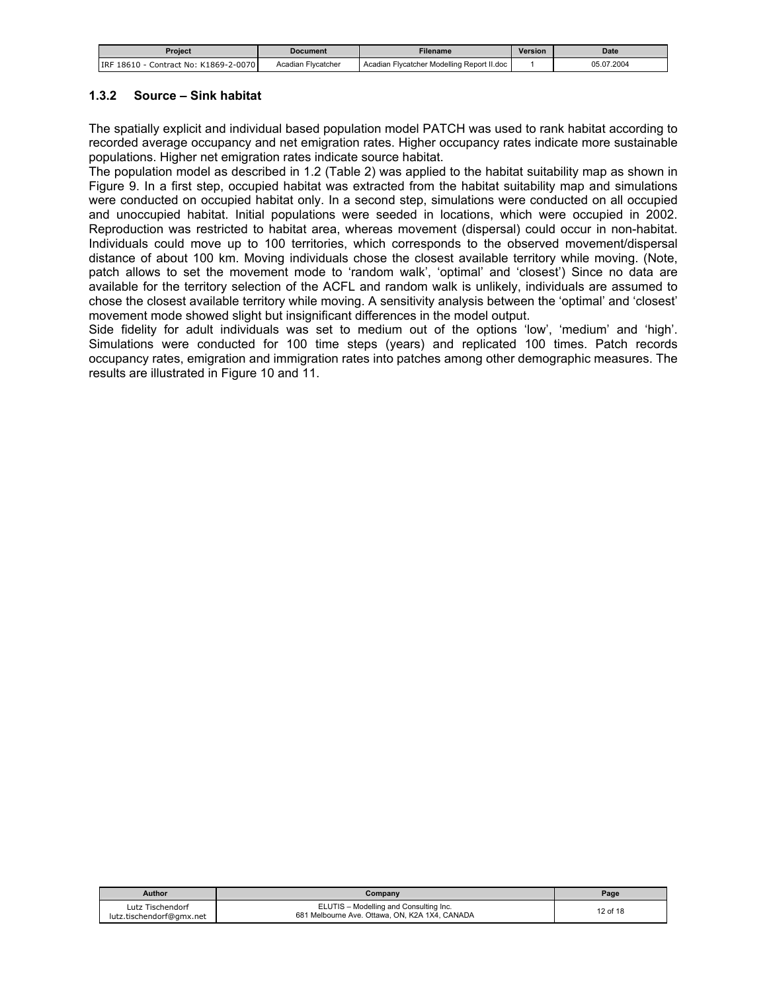<span id="page-11-0"></span>

| Proiect                                  | Document           | Filename                                   | Version | <b>Date</b> |
|------------------------------------------|--------------------|--------------------------------------------|---------|-------------|
| Contract No: K1869-2-0070<br>IRF 18610 - | Acadian Flycatcher | Acadian Flycatcher Modelling Report II.doc |         | 05.07.2004  |

### **1.3.2 Source – Sink habitat**

The spatially explicit and individual based population model PATCH was used to rank habitat according to recorded average occupancy and net emigration rates. Higher occupancy rates indicate more sustainable populations. Higher net emigration rates indicate source habitat.

The population model as described in 1.2 (Table 2) was applied to the habitat suitability map as shown in Figure 9. In a first step, occupied habitat was extracted from the habitat suitability map and simulations were conducted on occupied habitat only. In a second step, simulations were conducted on all occupied and unoccupied habitat. Initial populations were seeded in locations, which were occupied in 2002. Reproduction was restricted to habitat area, whereas movement (dispersal) could occur in non-habitat. Individuals could move up to 100 territories, which corresponds to the observed movement/dispersal distance of about 100 km. Moving individuals chose the closest available territory while moving. (Note, patch allows to set the movement mode to 'random walk', 'optimal' and 'closest') Since no data are available for the territory selection of the ACFL and random walk is unlikely, individuals are assumed to chose the closest available territory while moving. A sensitivity analysis between the 'optimal' and 'closest' movement mode showed slight but insignificant differences in the model output.

Side fidelity for adult individuals was set to medium out of the options 'low', 'medium' and 'high'. Simulations were conducted for 100 time steps (years) and replicated 100 times. Patch records occupancy rates, emigration and immigration rates into patches among other demographic measures. The results are illustrated in Figure 10 and 11.

| Author                                       | Company                                                                                  | Page     |
|----------------------------------------------|------------------------------------------------------------------------------------------|----------|
| Lutz Tischendorf<br>lutz.tischendorf@gmx.net | ELUTIS - Modelling and Consulting Inc.<br>681 Melbourne Ave. Ottawa, ON, K2A 1X4, CANADA | 12 of 18 |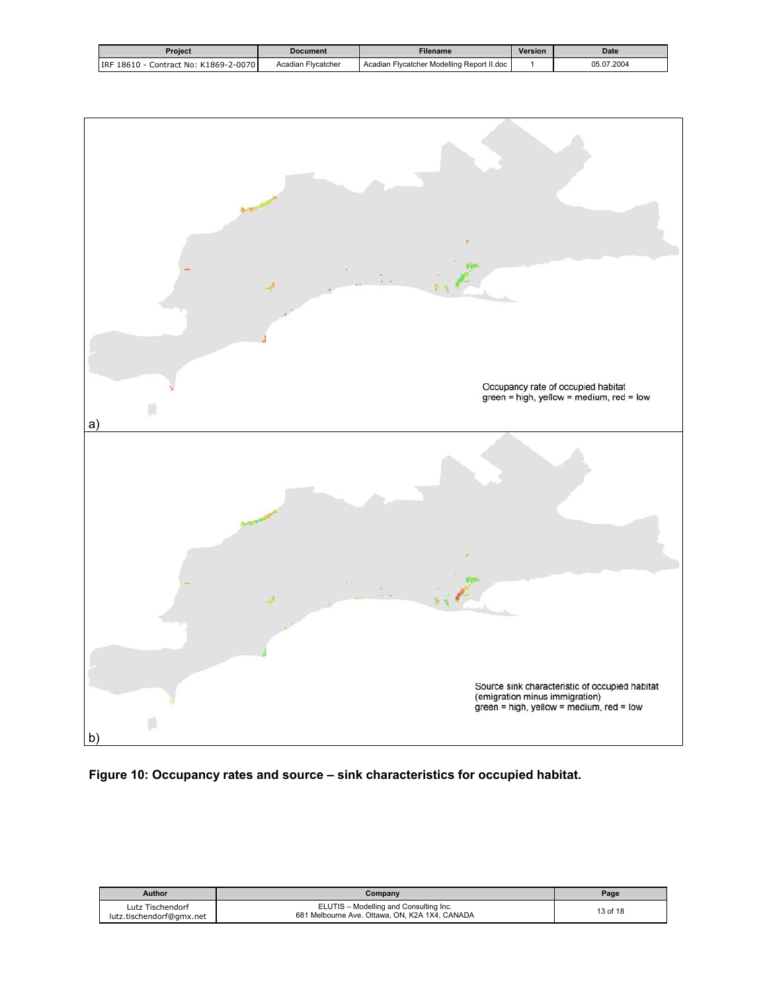<span id="page-12-0"></span>

| Proiect                                | <b>Document</b>    | Filename                                   | Version | Date       |
|----------------------------------------|--------------------|--------------------------------------------|---------|------------|
| Contract No: K1869-2-0070<br>IRF 18610 | Acadian Flycatcher | Acadian Flycatcher Modelling Report II.doc |         | 05.07.2004 |



# **Figure 10: Occupancy rates and source – sink characteristics for occupied habitat.**

| Author                                       | Company                                                                                  | Page     |
|----------------------------------------------|------------------------------------------------------------------------------------------|----------|
| Lutz Tischendorf<br>lutz.tischendorf@gmx.net | ELUTIS - Modelling and Consulting Inc.<br>681 Melbourne Ave. Ottawa, ON, K2A 1X4, CANADA | 13 of 18 |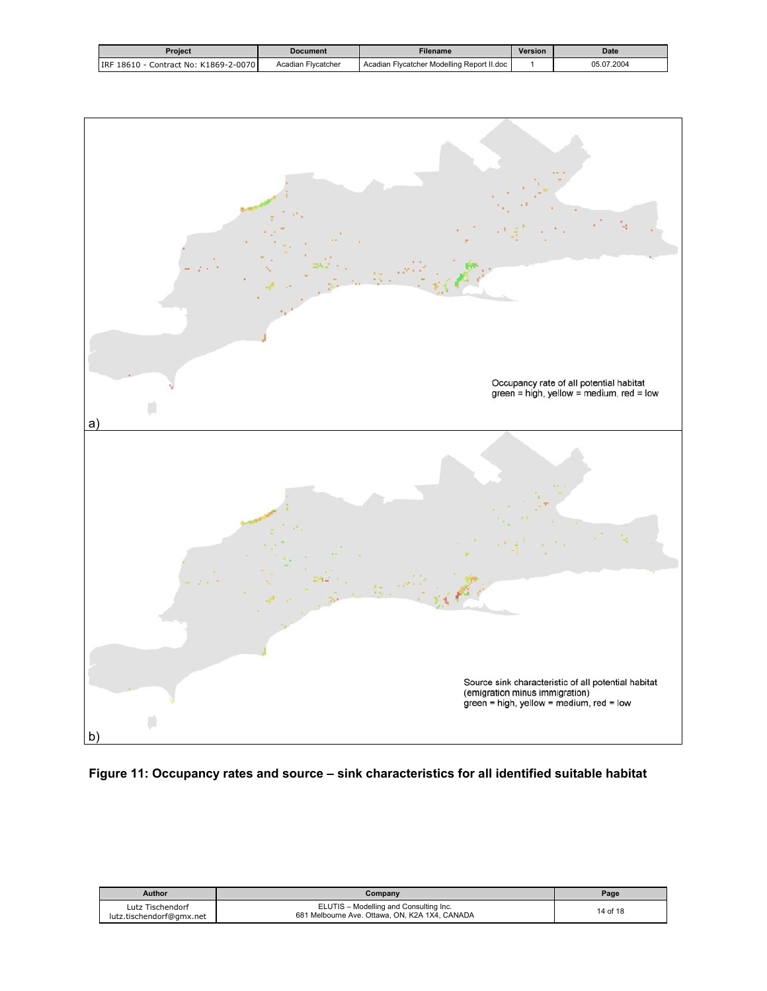<span id="page-13-0"></span>

| Proiect                                | <b>Document</b>    | Filename                                   | Version | <b>Date</b> |
|----------------------------------------|--------------------|--------------------------------------------|---------|-------------|
| Contract No: K1869-2-0070<br>IRF 18610 | Acadian Flycatcher | Acadian Flycatcher Modelling Report II.doc |         | 05.07.2004  |



# **Figure 11: Occupancy rates and source – sink characteristics for all identified suitable habitat**

| <b>Author</b>                                | Company                                                                                  | Page     |
|----------------------------------------------|------------------------------------------------------------------------------------------|----------|
| Lutz Tischendorf<br>lutz.tischendorf@gmx.net | ELUTIS - Modelling and Consulting Inc.<br>681 Melbourne Ave. Ottawa, ON, K2A 1X4, CANADA | 14 of 18 |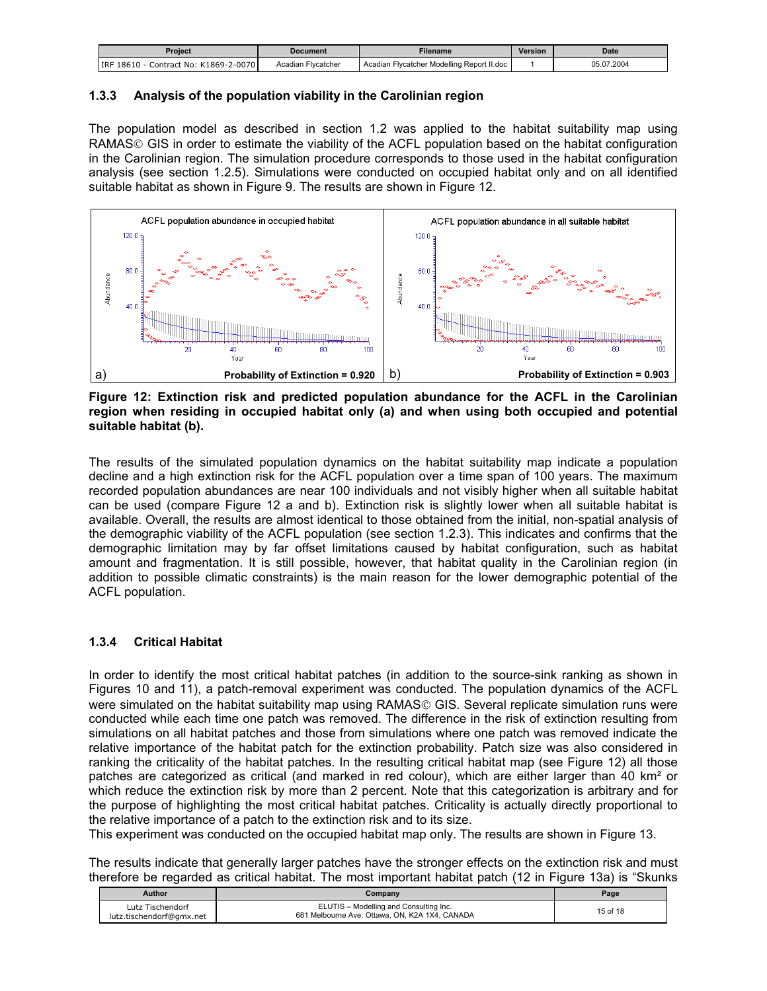<span id="page-14-0"></span>

| Project                                | <b>Document</b>    | <b>Filename</b>                            | Version | <b>Date</b> |
|----------------------------------------|--------------------|--------------------------------------------|---------|-------------|
| IRF 18610<br>Contract No: K1869-2-0070 | Acadian Flycatcher | Acadian Flycatcher Modelling Report II.doc |         | 05.07.2004  |

# **1.3.3 Analysis of the population viability in the Carolinian region**

The population model as described in section 1.2 was applied to the habitat suitability map using RAMAS© GIS in order to estimate the viability of the ACFL population based on the habitat configuration in the Carolinian region. The simulation procedure corresponds to those used in the habitat configuration analysis (see section 1.2.5). Simulations were conducted on occupied habitat only and on all identified suitable habitat as shown in Figure 9. The results are shown in Figure 12.



**Figure 12: Extinction risk and predicted population abundance for the ACFL in the Carolinian region when residing in occupied habitat only (a) and when using both occupied and potential suitable habitat (b).** 

The results of the simulated population dynamics on the habitat suitability map indicate a population decline and a high extinction risk for the ACFL population over a time span of 100 years. The maximum recorded population abundances are near 100 individuals and not visibly higher when all suitable habitat can be used (compare Figure 12 a and b). Extinction risk is slightly lower when all suitable habitat is available. Overall, the results are almost identical to those obtained from the initial, non-spatial analysis of the demographic viability of the ACFL population (see section 1.2.3). This indicates and confirms that the demographic limitation may by far offset limitations caused by habitat configuration, such as habitat amount and fragmentation. It is still possible, however, that habitat quality in the Carolinian region (in addition to possible climatic constraints) is the main reason for the lower demographic potential of the ACFL population.

# **1.3.4 Critical Habitat**

In order to identify the most critical habitat patches (in addition to the source-sink ranking as shown in Figures 10 and 11), a patch-removal experiment was conducted. The population dynamics of the ACFL were simulated on the habitat suitability map using RAMAS<sup>©</sup> GIS. Several replicate simulation runs were conducted while each time one patch was removed. The difference in the risk of extinction resulting from simulations on all habitat patches and those from simulations where one patch was removed indicate the relative importance of the habitat patch for the extinction probability. Patch size was also considered in ranking the criticality of the habitat patches. In the resulting critical habitat map (see Figure 12) all those patches are categorized as critical (and marked in red colour), which are either larger than 40 km² or which reduce the extinction risk by more than 2 percent. Note that this categorization is arbitrary and for the purpose of highlighting the most critical habitat patches. Criticality is actually directly proportional to the relative importance of a patch to the extinction risk and to its size.

This experiment was conducted on the occupied habitat map only. The results are shown in Figure 13.

The results indicate that generally larger patches have the stronger effects on the extinction risk and must therefore be regarded as critical habitat. The most important habitat patch (12 in Figure 13a) is "Skunks

| <b>Author</b>                                | Company                                                                                  | Page     |
|----------------------------------------------|------------------------------------------------------------------------------------------|----------|
| Lutz Tischendorf<br>lutz.tischendorf@gmx.net | ELUTIS - Modelling and Consulting Inc.<br>681 Melbourne Ave. Ottawa, ON, K2A 1X4, CANADA | 15 of 18 |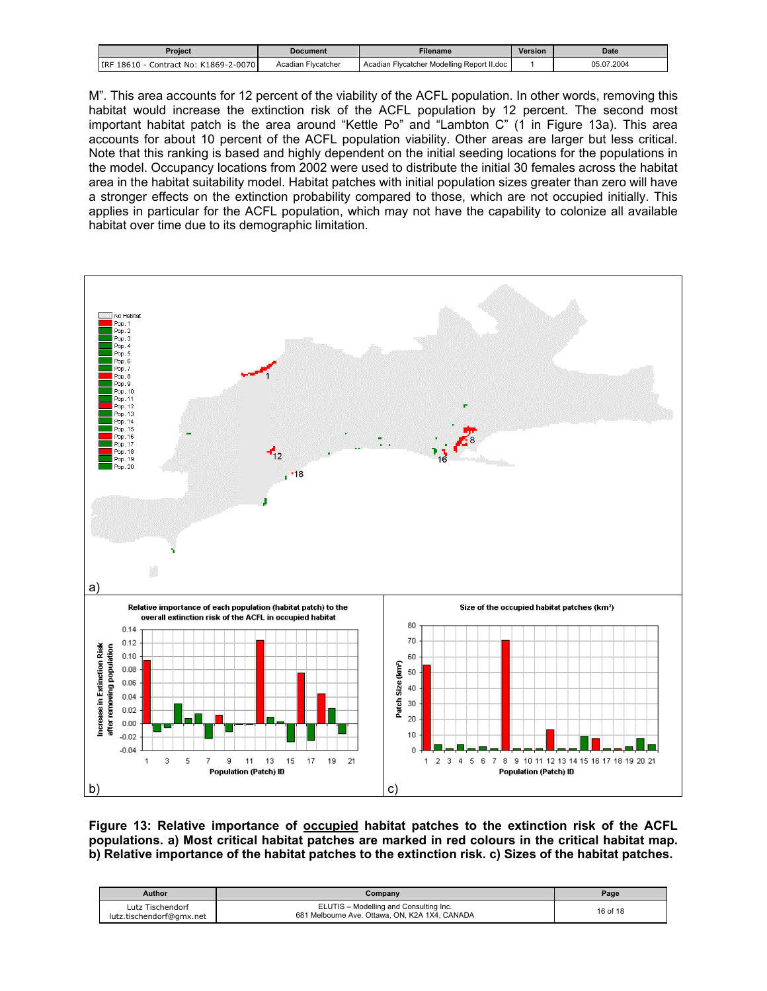<span id="page-15-0"></span>

| Proiect                                | Document           | <b>Filename</b>                            | <b>Version</b> | Date           |
|----------------------------------------|--------------------|--------------------------------------------|----------------|----------------|
| Contract No: K1869-2-0070<br>IRF 18610 | Acadian Flycatcher | Acadian Flycatcher Modelling Report II.doc |                | .2004<br>05.07 |

M". This area accounts for 12 percent of the viability of the ACFL population. In other words, removing this habitat would increase the extinction risk of the ACFL population by 12 percent. The second most important habitat patch is the area around "Kettle Po" and "Lambton C" (1 in Figure 13a). This area accounts for about 10 percent of the ACFL population viability. Other areas are larger but less critical. Note that this ranking is based and highly dependent on the initial seeding locations for the populations in the model. Occupancy locations from 2002 were used to distribute the initial 30 females across the habitat area in the habitat suitability model. Habitat patches with initial population sizes greater than zero will have a stronger effects on the extinction probability compared to those, which are not occupied initially. This applies in particular for the ACFL population, which may not have the capability to colonize all available habitat over time due to its demographic limitation.



**Figure 13: Relative importance of occupied habitat patches to the extinction risk of the ACFL populations. a) Most critical habitat patches are marked in red colours in the critical habitat map. b) Relative importance of the habitat patches to the extinction risk. c) Sizes of the habitat patches.** 

| Author                                       | Company                                                                                  | Page     |
|----------------------------------------------|------------------------------------------------------------------------------------------|----------|
| Lutz Tischendorf<br>lutz.tischendorf@gmx.net | ELUTIS - Modelling and Consulting Inc.<br>681 Melbourne Ave. Ottawa, ON, K2A 1X4, CANADA | 16 of 18 |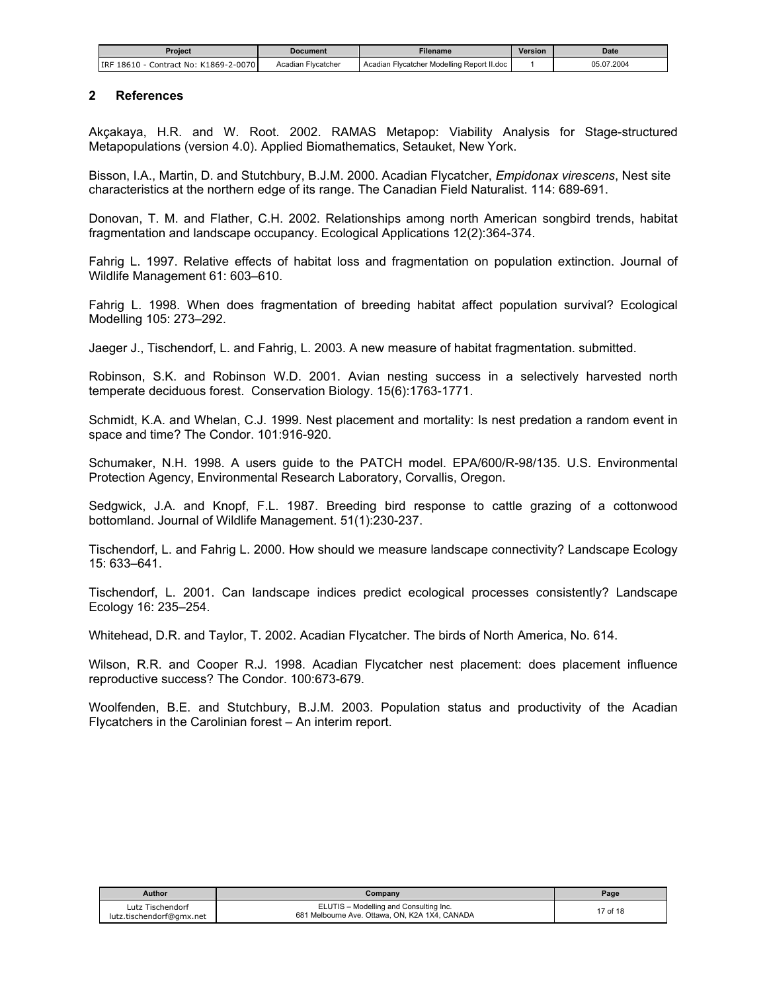<span id="page-16-0"></span>

| Proiect                                    | <b>Document</b>       | Filename                                   | Version | Date       |
|--------------------------------------------|-----------------------|--------------------------------------------|---------|------------|
| Contract No: K1869-2-0070<br>IRF 18610 - 0 | Flycatcher<br>Acadian | Acadian Flycatcher Modelling Report II.doc |         | 05.07.2004 |

#### **2 References**

Akçakaya, H.R. and W. Root. 2002. RAMAS Metapop: Viability Analysis for Stage-structured Metapopulations (version 4.0). Applied Biomathematics, Setauket, New York.

Bisson, I.A., Martin, D. and Stutchbury, B.J.M. 2000. Acadian Flycatcher, *Empidonax virescens*, Nest site characteristics at the northern edge of its range. The Canadian Field Naturalist. 114: 689-691.

Donovan, T. M. and Flather, C.H. 2002. Relationships among north American songbird trends, habitat fragmentation and landscape occupancy. Ecological Applications 12(2):364-374.

Fahrig L. 1997. Relative effects of habitat loss and fragmentation on population extinction. Journal of Wildlife Management 61: 603–610.

Fahrig L. 1998. When does fragmentation of breeding habitat affect population survival? Ecological Modelling 105: 273–292.

Jaeger J., Tischendorf, L. and Fahrig, L. 2003. A new measure of habitat fragmentation. submitted.

Robinson, S.K. and Robinson W.D. 2001. Avian nesting success in a selectively harvested north temperate deciduous forest. Conservation Biology. 15(6):1763-1771.

Schmidt, K.A. and Whelan, C.J. 1999. Nest placement and mortality: Is nest predation a random event in space and time? The Condor. 101:916-920.

Schumaker, N.H. 1998. A users guide to the PATCH model. EPA/600/R-98/135. U.S. Environmental Protection Agency, Environmental Research Laboratory, Corvallis, Oregon.

Sedgwick, J.A. and Knopf, F.L. 1987. Breeding bird response to cattle grazing of a cottonwood bottomland. Journal of Wildlife Management. 51(1):230-237.

Tischendorf, L. and Fahrig L. 2000. How should we measure landscape connectivity? Landscape Ecology 15: 633–641.

Tischendorf, L. 2001. Can landscape indices predict ecological processes consistently? Landscape Ecology 16: 235–254.

Whitehead, D.R. and Taylor, T. 2002. Acadian Flycatcher. The birds of North America, No. 614.

Wilson, R.R. and Cooper R.J. 1998. Acadian Flycatcher nest placement: does placement influence reproductive success? The Condor. 100:673-679.

Woolfenden, B.E. and Stutchbury, B.J.M. 2003. Population status and productivity of the Acadian Flycatchers in the Carolinian forest – An interim report.

| Author                                       | $\mathcal{L}$ ompany                                                                     | Page     |
|----------------------------------------------|------------------------------------------------------------------------------------------|----------|
| Lutz Tischendorf<br>lutz.tischendorf@gmx.net | ELUTIS - Modelling and Consulting Inc.<br>681 Melbourne Ave. Ottawa, ON, K2A 1X4, CANADA | 17 of 18 |